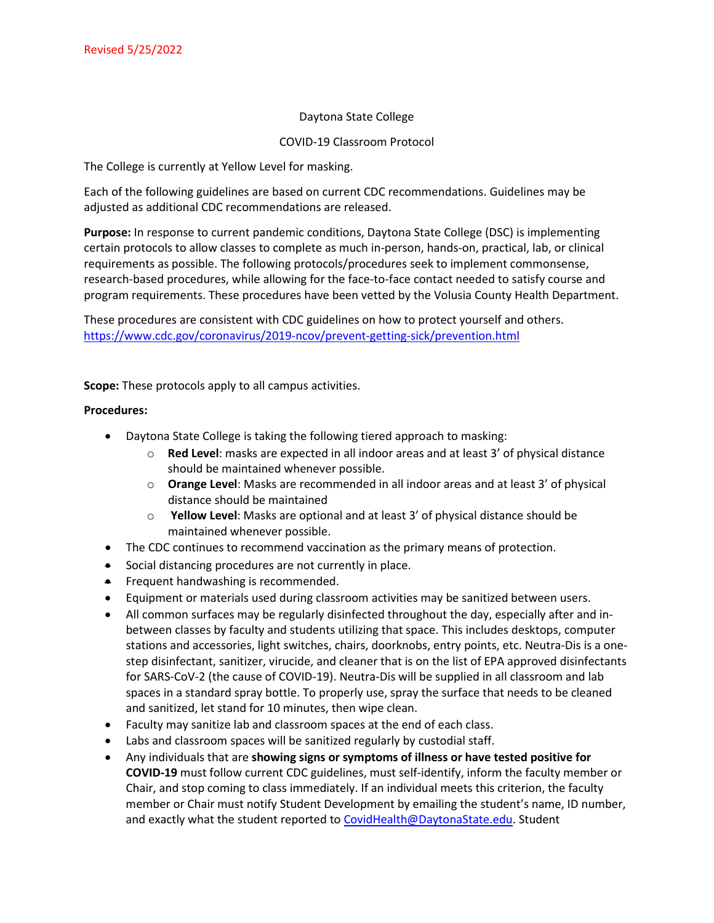## Daytona State College

## COVID-19 Classroom Protocol

The College is currently at Yellow Level for masking.

Each of the following guidelines are based on current CDC recommendations. Guidelines may be adjusted as additional CDC recommendations are released.

**Purpose:** In response to current pandemic conditions, Daytona State College (DSC) is implementing certain protocols to allow classes to complete as much in-person, hands-on, practical, lab, or clinical requirements as possible. The following protocols/procedures seek to implement commonsense, research-based procedures, while allowing for the face-to-face contact needed to satisfy course and program requirements. These procedures have been vetted by the Volusia County Health Department.

These procedures are consistent with CDC guidelines on how to protect yourself and others. <https://www.cdc.gov/coronavirus/2019-ncov/prevent-getting-sick/prevention.html>

**Scope:** These protocols apply to all campus activities.

## **Procedures:**

- Daytona State College is taking the following tiered approach to masking:
	- o **Red Level**: masks are expected in all indoor areas and at least 3' of physical distance should be maintained whenever possible.
	- o **Orange Level**: Masks are recommended in all indoor areas and at least 3' of physical distance should be maintained
	- o **Yellow Level**: Masks are optional and at least 3' of physical distance should be maintained whenever possible.
- The CDC continues to recommend vaccination as the primary means of protection.
- Social distancing procedures are not currently in place.
- Frequent handwashing is recommended.
- Equipment or materials used during classroom activities may be sanitized between users.
- All common surfaces may be regularly disinfected throughout the day, especially after and inbetween classes by faculty and students utilizing that space. This includes desktops, computer stations and accessories, light switches, chairs, doorknobs, entry points, etc. Neutra-Dis is a onestep disinfectant, sanitizer, virucide, and cleaner that is on the list of EPA approved disinfectants for SARS-CoV-2 (the cause of COVID-19). Neutra-Dis will be supplied in all classroom and lab spaces in a standard spray bottle. To properly use, spray the surface that needs to be cleaned and sanitized, let stand for 10 minutes, then wipe clean.
- Faculty may sanitize lab and classroom spaces at the end of each class.
- Labs and classroom spaces will be sanitized regularly by custodial staff.
- Any individuals that are **showing signs or symptoms of illness or have tested positive for COVID-19** must follow current CDC guidelines, must self-identify, inform the faculty member or Chair, and stop coming to class immediately. If an individual meets this criterion, the faculty member or Chair must notify Student Development by emailing the student's name, ID number, and exactly what the student reported t[o CovidHealth@DaytonaState.edu.](file://admin-hd1/users/931523/COVID-19%20Response/CovidHealth@DaytonaState.edu) Student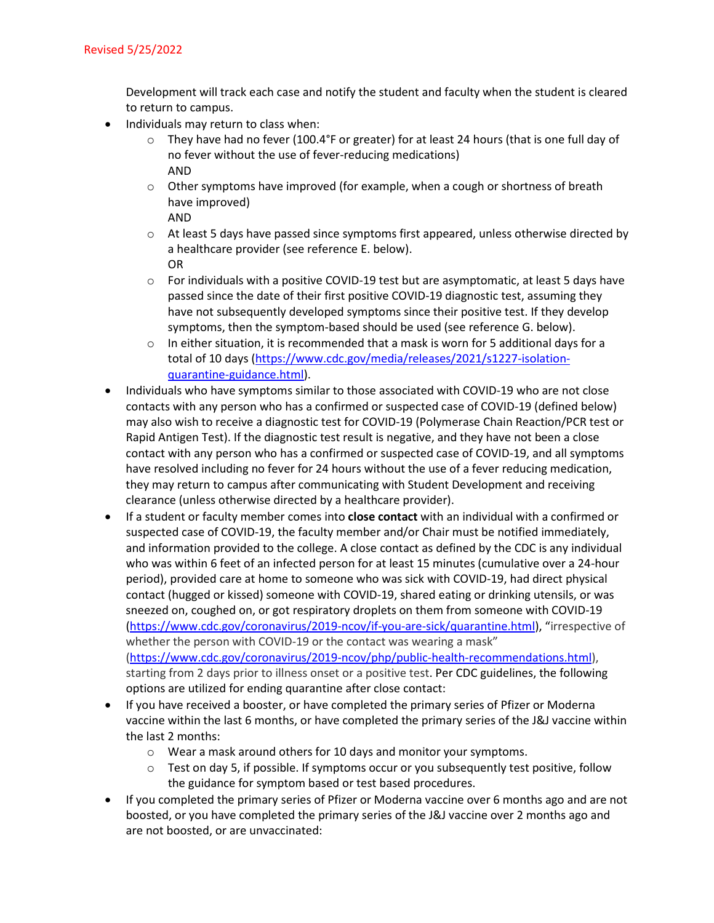Development will track each case and notify the student and faculty when the student is cleared to return to campus.

- Individuals may return to class when:
	- $\circ$  They have had no fever (100.4°F or greater) for at least 24 hours (that is one full day of no fever without the use of fever-reducing medications) AND
	- $\circ$  Other symptoms have improved (for example, when a cough or shortness of breath have improved)

AND

- $\circ$  At least 5 days have passed since symptoms first appeared, unless otherwise directed by a healthcare provider (see reference E. below). OR
- $\circ$  For individuals with a positive COVID-19 test but are asymptomatic, at least 5 days have passed since the date of their first positive COVID-19 diagnostic test, assuming they have not subsequently developed symptoms since their positive test. If they develop symptoms, then the symptom-based should be used (see reference G. below).
- $\circ$  In either situation, it is recommended that a mask is worn for 5 additional days for a total of 10 days [\(https://www.cdc.gov/media/releases/2021/s1227-isolation](https://www.cdc.gov/media/releases/2021/s1227-isolation-quarantine-guidance.html)[quarantine-guidance.html\)](https://www.cdc.gov/media/releases/2021/s1227-isolation-quarantine-guidance.html).
- Individuals who have symptoms similar to those associated with COVID-19 who are not close contacts with any person who has a confirmed or suspected case of COVID-19 (defined below) may also wish to receive a diagnostic test for COVID-19 (Polymerase Chain Reaction/PCR test or Rapid Antigen Test). If the diagnostic test result is negative, and they have not been a close contact with any person who has a confirmed or suspected case of COVID-19, and all symptoms have resolved including no fever for 24 hours without the use of a fever reducing medication, they may return to campus after communicating with Student Development and receiving clearance (unless otherwise directed by a healthcare provider).
- If a student or faculty member comes into **close contact** with an individual with a confirmed or suspected case of COVID-19, the faculty member and/or Chair must be notified immediately, and information provided to the college. A close contact as defined by the CDC is any individual who was within 6 feet of an infected person for at least 15 minutes (cumulative over a 24-hour period), provided care at home to someone who was sick with COVID-19, had direct physical contact (hugged or kissed) someone with COVID-19, shared eating or drinking utensils, or was sneezed on, coughed on, or got respiratory droplets on them from someone with COVID-19 [\(https://www.cdc.gov/coronavirus/2019-ncov/if-you-are-sick/quarantine.html\)](https://www.cdc.gov/coronavirus/2019-ncov/if-you-are-sick/quarantine.html), "irrespective of whether the person with COVID-19 or the contact was wearing a mask" [\(https://www.cdc.gov/coronavirus/2019-ncov/php/public-health-recommendations.html\)](https://www.cdc.gov/coronavirus/2019-ncov/php/public-health-recommendations.html), starting from 2 days prior to illness onset or a positive test. Per CDC guidelines, the following options are utilized for ending quarantine after close contact:
- If you have received a booster, or have completed the primary series of Pfizer or Moderna vaccine within the last 6 months, or have completed the primary series of the J&J vaccine within the last 2 months:
	- o Wear a mask around others for 10 days and monitor your symptoms.
	- $\circ$  Test on day 5, if possible. If symptoms occur or you subsequently test positive, follow the guidance for symptom based or test based procedures.
- If you completed the primary series of Pfizer or Moderna vaccine over 6 months ago and are not boosted, or you have completed the primary series of the J&J vaccine over 2 months ago and are not boosted, or are unvaccinated: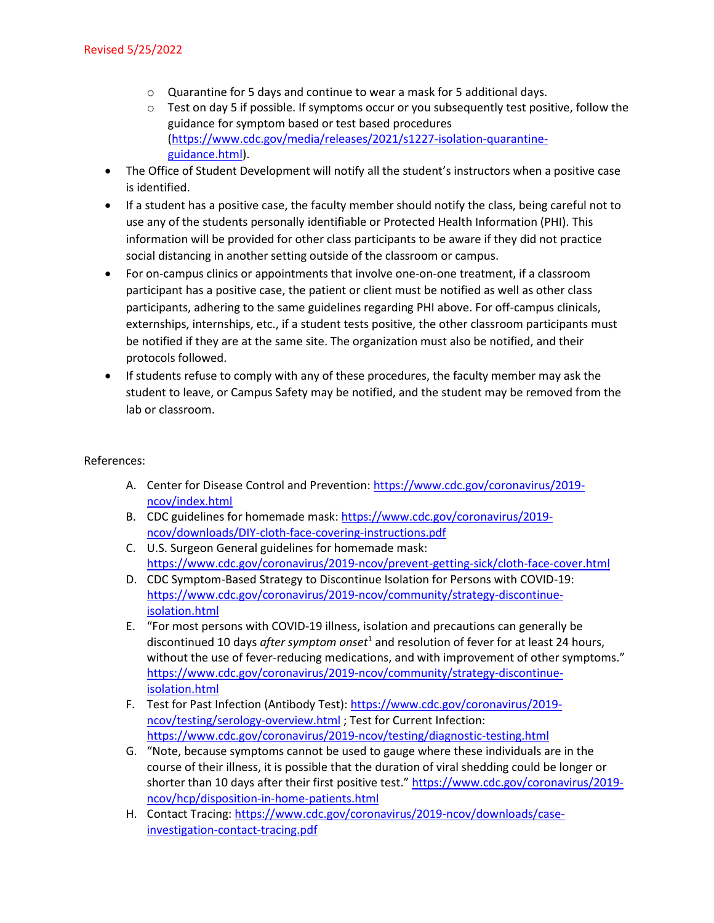- o Quarantine for 5 days and continue to wear a mask for 5 additional days.
- o Test on day 5 if possible. If symptoms occur or you subsequently test positive, follow the guidance for symptom based or test based procedures [\(https://www.cdc.gov/media/releases/2021/s1227-isolation-quarantine](https://www.cdc.gov/media/releases/2021/s1227-isolation-quarantine-guidance.html)[guidance.html\)](https://www.cdc.gov/media/releases/2021/s1227-isolation-quarantine-guidance.html).
- The Office of Student Development will notify all the student's instructors when a positive case is identified.
- If a student has a positive case, the faculty member should notify the class, being careful not to use any of the students personally identifiable or Protected Health Information (PHI). This information will be provided for other class participants to be aware if they did not practice social distancing in another setting outside of the classroom or campus.
- For on-campus clinics or appointments that involve one-on-one treatment, if a classroom participant has a positive case, the patient or client must be notified as well as other class participants, adhering to the same guidelines regarding PHI above. For off-campus clinicals, externships, internships, etc., if a student tests positive, the other classroom participants must be notified if they are at the same site. The organization must also be notified, and their protocols followed.
- If students refuse to comply with any of these procedures, the faculty member may ask the student to leave, or Campus Safety may be notified, and the student may be removed from the lab or classroom.

## References:

- A. Center for Disease Control and Prevention: [https://www.cdc.gov/coronavirus/2019](https://www.cdc.gov/coronavirus/2019-ncov/index.html) [ncov/index.html](https://www.cdc.gov/coronavirus/2019-ncov/index.html)
- B. CDC guidelines for homemade mask[: https://www.cdc.gov/coronavirus/2019](https://www.cdc.gov/coronavirus/2019-ncov/downloads/DIY-cloth-face-covering-instructions.pdf) [ncov/downloads/DIY-cloth-face-covering-instructions.pdf](https://www.cdc.gov/coronavirus/2019-ncov/downloads/DIY-cloth-face-covering-instructions.pdf)
- C. U.S. Surgeon General guidelines for homemade mask: <https://www.cdc.gov/coronavirus/2019-ncov/prevent-getting-sick/cloth-face-cover.html>
- D. CDC Symptom-Based Strategy to Discontinue Isolation for Persons with COVID-19: [https://www.cdc.gov/coronavirus/2019-ncov/community/strategy-discontinue](https://www.cdc.gov/coronavirus/2019-ncov/community/strategy-discontinue-isolation.html)[isolation.html](https://www.cdc.gov/coronavirus/2019-ncov/community/strategy-discontinue-isolation.html)
- E. "For most persons with COVID-19 illness, isolation and precautions can generally be discontinued 10 days *after symptom onset*<sup>1</sup> and resolution of fever for at least 24 hours, without the use of fever-reducing medications, and with improvement of other symptoms." [https://www.cdc.gov/coronavirus/2019-ncov/community/strategy-discontinue](https://www.cdc.gov/coronavirus/2019-ncov/community/strategy-discontinue-isolation.html)[isolation.html](https://www.cdc.gov/coronavirus/2019-ncov/community/strategy-discontinue-isolation.html)
- F. Test for Past Infection (Antibody Test)[: https://www.cdc.gov/coronavirus/2019](https://www.cdc.gov/coronavirus/2019-ncov/testing/serology-overview.html) [ncov/testing/serology-overview.html](https://www.cdc.gov/coronavirus/2019-ncov/testing/serology-overview.html) ; Test for Current Infection: <https://www.cdc.gov/coronavirus/2019-ncov/testing/diagnostic-testing.html>
- G. "Note, because symptoms cannot be used to gauge where these individuals are in the course of their illness, it is possible that the duration of viral shedding could be longer or shorter than 10 days after their first positive test." [https://www.cdc.gov/coronavirus/2019](https://www.cdc.gov/coronavirus/2019-ncov/hcp/disposition-in-home-patients.html) [ncov/hcp/disposition-in-home-patients.html](https://www.cdc.gov/coronavirus/2019-ncov/hcp/disposition-in-home-patients.html)
- H. Contact Tracing: [https://www.cdc.gov/coronavirus/2019-ncov/downloads/case](https://www.cdc.gov/coronavirus/2019-ncov/downloads/case-investigation-contact-tracing.pdf)[investigation-contact-tracing.pdf](https://www.cdc.gov/coronavirus/2019-ncov/downloads/case-investigation-contact-tracing.pdf)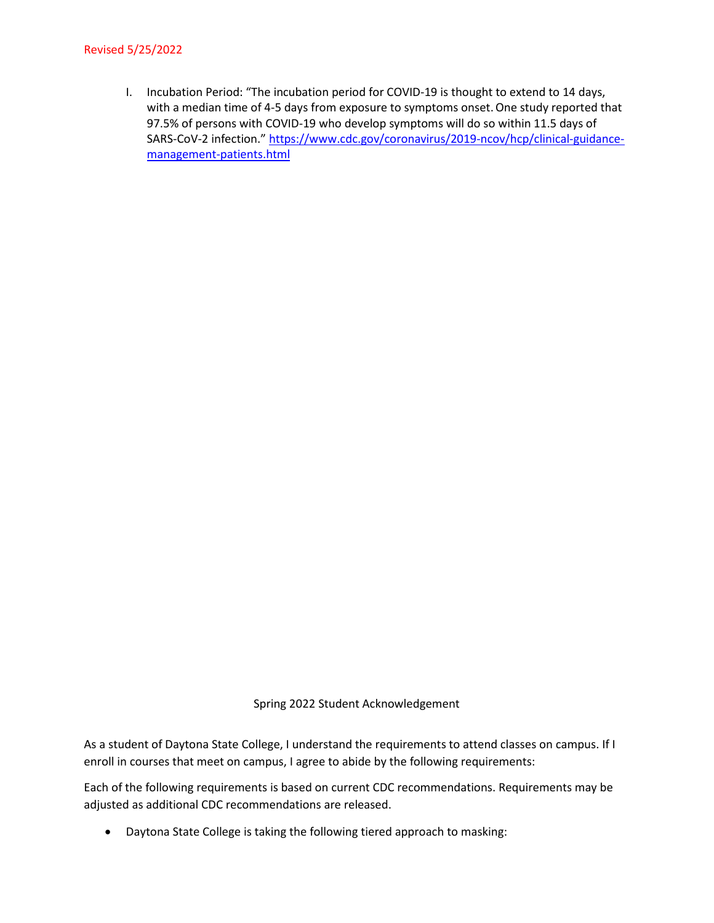### Revised 5/25/2022

I. Incubation Period: "The incubation period for COVID-19 is thought to extend to 14 days, with a median time of 4-5 days from exposure to symptoms onset.One study reported that 97.5% of persons with COVID-19 who develop symptoms will do so within 11.5 days of SARS-CoV-2 infection.[" https://www.cdc.gov/coronavirus/2019-ncov/hcp/clinical-guidance](https://www.cdc.gov/coronavirus/2019-ncov/hcp/clinical-guidance-management-patients.html)[management-patients.html](https://www.cdc.gov/coronavirus/2019-ncov/hcp/clinical-guidance-management-patients.html)

#### Spring 2022 Student Acknowledgement

As a student of Daytona State College, I understand the requirements to attend classes on campus. If I enroll in courses that meet on campus, I agree to abide by the following requirements:

Each of the following requirements is based on current CDC recommendations. Requirements may be adjusted as additional CDC recommendations are released.

• Daytona State College is taking the following tiered approach to masking: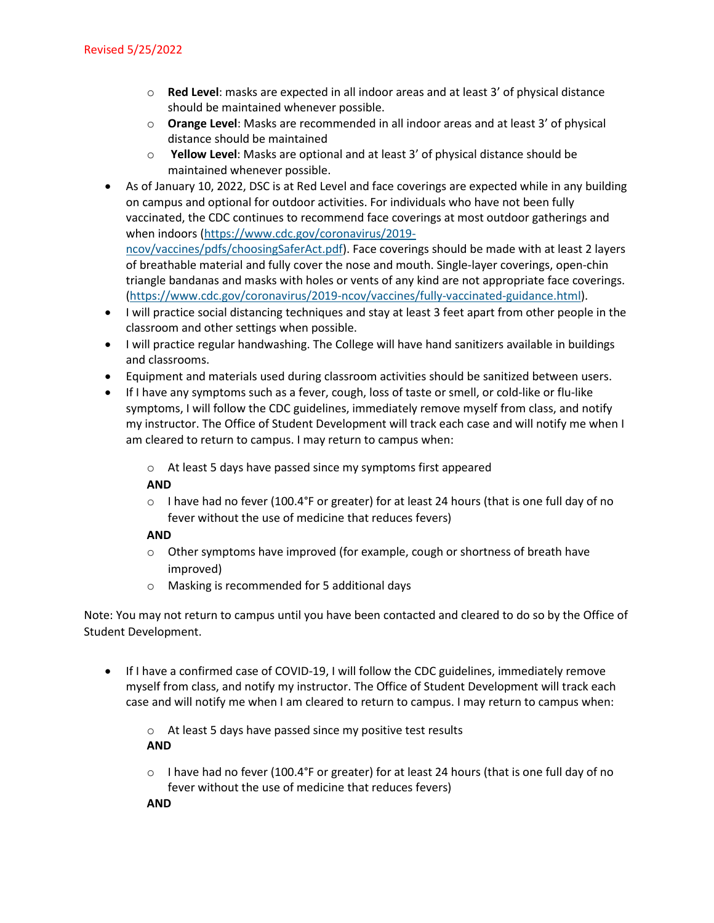- o **Red Level**: masks are expected in all indoor areas and at least 3' of physical distance should be maintained whenever possible.
- o **Orange Level**: Masks are recommended in all indoor areas and at least 3' of physical distance should be maintained
- o **Yellow Level**: Masks are optional and at least 3' of physical distance should be maintained whenever possible.
- As of January 10, 2022, DSC is at Red Level and face coverings are expected while in any building on campus and optional for outdoor activities. For individuals who have not been fully vaccinated, the CDC continues to recommend face coverings at most outdoor gatherings and when indoors [\(https://www.cdc.gov/coronavirus/2019](https://www.cdc.gov/coronavirus/2019-ncov/vaccines/pdfs/choosingSaferAct.pdf) [ncov/vaccines/pdfs/choosingSaferAct.pdf\)](https://www.cdc.gov/coronavirus/2019-ncov/vaccines/pdfs/choosingSaferAct.pdf). Face coverings should be made with at least 2 layers of breathable material and fully cover the nose and mouth. Single-layer coverings, open-chin triangle bandanas and masks with holes or vents of any kind are not appropriate face coverings. [\(https://www.cdc.gov/coronavirus/2019-ncov/vaccines/fully-vaccinated-guidance.html\)](https://www.cdc.gov/coronavirus/2019-ncov/vaccines/fully-vaccinated-guidance.html).
- I will practice social distancing techniques and stay at least 3 feet apart from other people in the classroom and other settings when possible.
- I will practice regular handwashing. The College will have hand sanitizers available in buildings and classrooms.
- Equipment and materials used during classroom activities should be sanitized between users.
- If I have any symptoms such as a fever, cough, loss of taste or smell, or cold-like or flu-like symptoms, I will follow the CDC guidelines, immediately remove myself from class, and notify my instructor. The Office of Student Development will track each case and will notify me when I am cleared to return to campus. I may return to campus when:
	- o At least 5 days have passed since my symptoms first appeared

## **AND**

 $\circ$  I have had no fever (100.4°F or greater) for at least 24 hours (that is one full day of no fever without the use of medicine that reduces fevers)

# **AND**

- $\circ$  Other symptoms have improved (for example, cough or shortness of breath have improved)
- o Masking is recommended for 5 additional days

Note: You may not return to campus until you have been contacted and cleared to do so by the Office of Student Development.

• If I have a confirmed case of COVID-19, I will follow the CDC guidelines, immediately remove myself from class, and notify my instructor. The Office of Student Development will track each case and will notify me when I am cleared to return to campus. I may return to campus when:

o At least 5 days have passed since my positive test results **AND**

 $\circ$  I have had no fever (100.4°F or greater) for at least 24 hours (that is one full day of no fever without the use of medicine that reduces fevers)

**AND**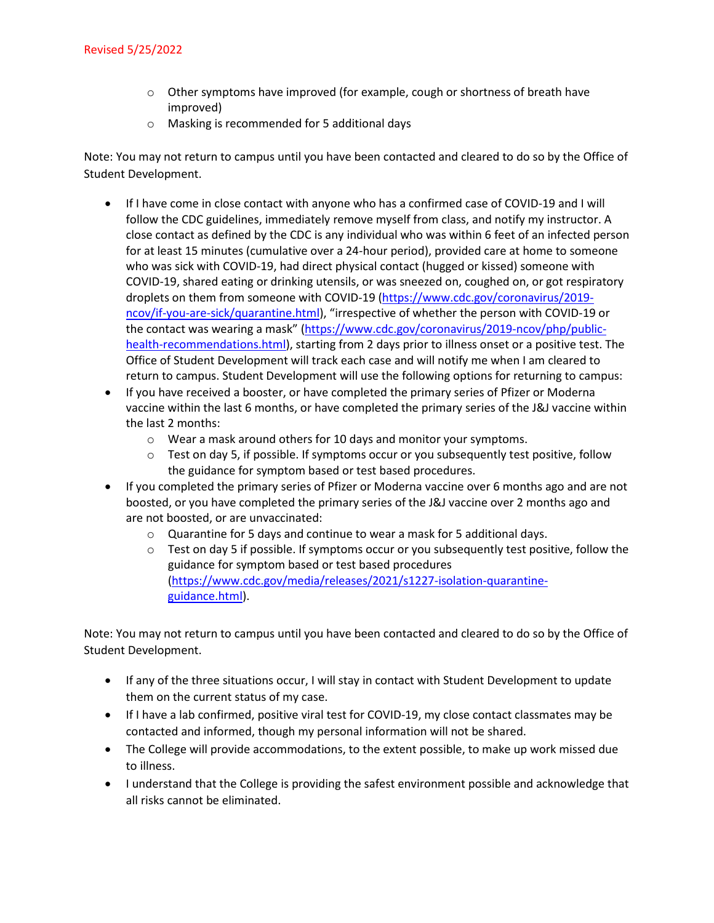- o Other symptoms have improved (for example, cough or shortness of breath have improved)
- o Masking is recommended for 5 additional days

Note: You may not return to campus until you have been contacted and cleared to do so by the Office of Student Development.

- If I have come in close contact with anyone who has a confirmed case of COVID-19 and I will follow the CDC guidelines, immediately remove myself from class, and notify my instructor. A close contact as defined by the CDC is any individual who was within 6 feet of an infected person for at least 15 minutes (cumulative over a 24-hour period), provided care at home to someone who was sick with COVID-19, had direct physical contact (hugged or kissed) someone with COVID-19, shared eating or drinking utensils, or was sneezed on, coughed on, or got respiratory droplets on them from someone with COVID-19 [\(https://www.cdc.gov/coronavirus/2019](https://www.cdc.gov/coronavirus/2019-ncov/if-you-are-sick/quarantine.html) [ncov/if-you-are-sick/quarantine.html\)](https://www.cdc.gov/coronavirus/2019-ncov/if-you-are-sick/quarantine.html), "irrespective of whether the person with COVID-19 or the contact was wearing a mask" [\(https://www.cdc.gov/coronavirus/2019-ncov/php/public](https://www.cdc.gov/coronavirus/2019-ncov/php/public-health-recommendations.html)[health-recommendations.html\)](https://www.cdc.gov/coronavirus/2019-ncov/php/public-health-recommendations.html), starting from 2 days prior to illness onset or a positive test. The Office of Student Development will track each case and will notify me when I am cleared to return to campus. Student Development will use the following options for returning to campus:
- If you have received a booster, or have completed the primary series of Pfizer or Moderna vaccine within the last 6 months, or have completed the primary series of the J&J vaccine within the last 2 months:
	- $\circ$  Wear a mask around others for 10 days and monitor your symptoms.
	- $\circ$  Test on day 5, if possible. If symptoms occur or you subsequently test positive, follow the guidance for symptom based or test based procedures.
- If you completed the primary series of Pfizer or Moderna vaccine over 6 months ago and are not boosted, or you have completed the primary series of the J&J vaccine over 2 months ago and are not boosted, or are unvaccinated:
	- o Quarantine for 5 days and continue to wear a mask for 5 additional days.
	- $\circ$  Test on day 5 if possible. If symptoms occur or you subsequently test positive, follow the guidance for symptom based or test based procedures [\(https://www.cdc.gov/media/releases/2021/s1227-isolation-quarantine](https://www.cdc.gov/media/releases/2021/s1227-isolation-quarantine-guidance.html)[guidance.html\)](https://www.cdc.gov/media/releases/2021/s1227-isolation-quarantine-guidance.html).

Note: You may not return to campus until you have been contacted and cleared to do so by the Office of Student Development.

- If any of the three situations occur, I will stay in contact with Student Development to update them on the current status of my case.
- If I have a lab confirmed, positive viral test for COVID-19, my close contact classmates may be contacted and informed, though my personal information will not be shared.
- The College will provide accommodations, to the extent possible, to make up work missed due to illness.
- I understand that the College is providing the safest environment possible and acknowledge that all risks cannot be eliminated.